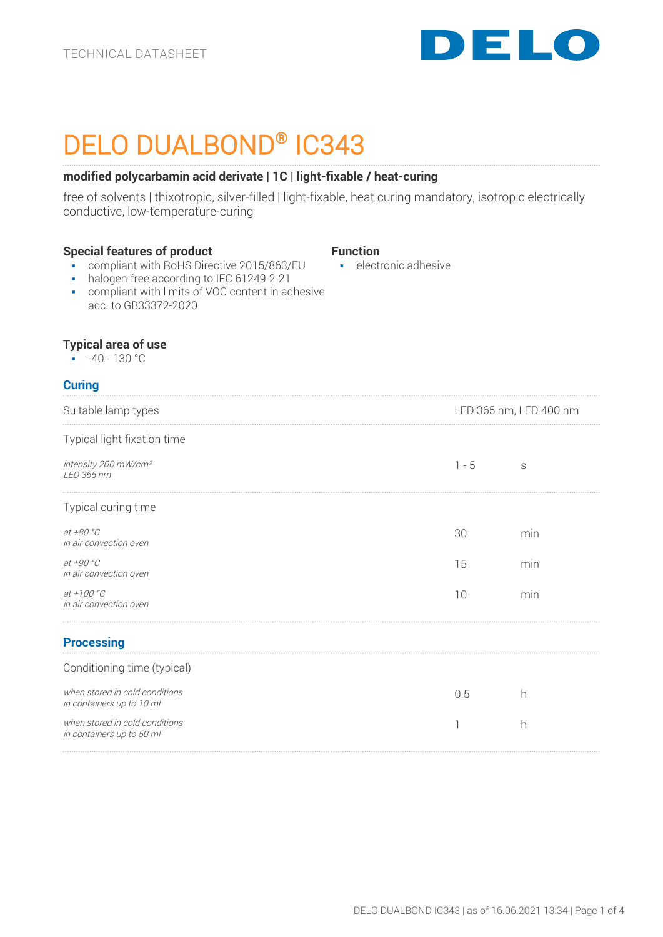

# DELO DUALBOND® IC343

# **modified polycarbamin acid derivate | 1C | light-fixable / heat-curing**

free of solvents | thixotropic, silver-filled | light-fixable, heat curing mandatory, isotropic electrically conductive, low-temperature-curing

## **Special features of product**

## **Function**

■ electronic adhesive

- compliant with RoHS Directive 2015/863/EU
- halogen-free according to IEC 61249-2-21
- compliant with limits of VOC content in adhesive acc. to GB33372-2020

# **Typical area of use**

 $-40 - 130 °C$ 

# **Curing**

| Suitable lamp types                                         | LED 365 nm, LED 400 nm |     |
|-------------------------------------------------------------|------------------------|-----|
| Typical light fixation time                                 |                        |     |
| intensity 200 mW/cm <sup>2</sup><br>LED 365 nm              | $1 - 5$                | S   |
| Typical curing time                                         |                        |     |
| at $+80 °C$<br>in air convection oven                       | 30                     | min |
| at $+90 °C$<br>in air convection oven                       | 15                     | min |
| $at + 100 °C$<br>in air convection oven                     | 10                     | min |
| <b>Processing</b>                                           |                        |     |
| Conditioning time (typical)                                 |                        |     |
| when stored in cold conditions<br>in containers up to 10 ml | 0.5                    | h   |
| when stored in cold conditions<br>in containers up to 50 ml |                        | h   |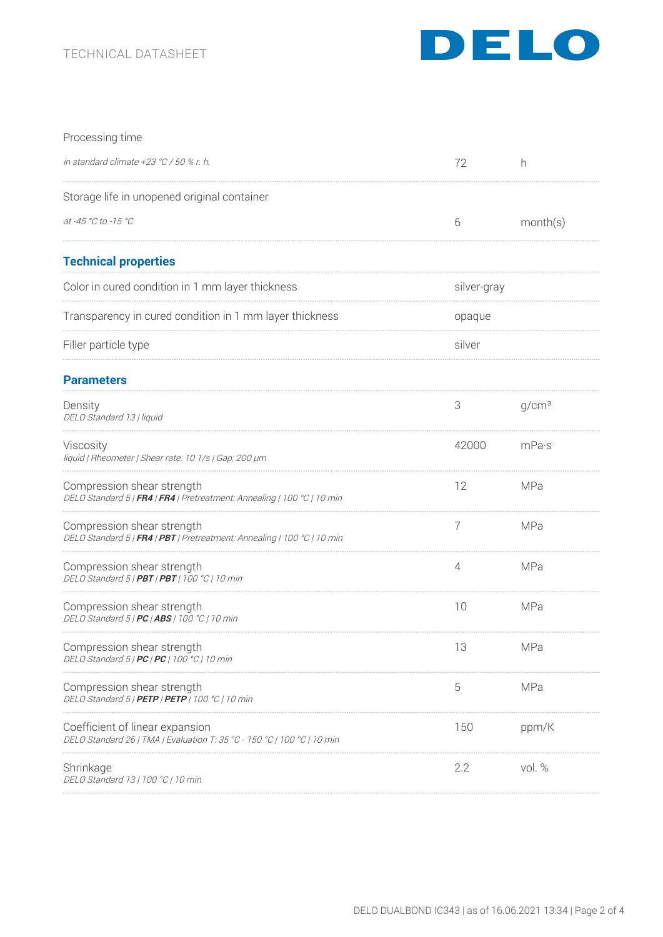# TECHNICAL DATASHEET



| Processing time                                                                                            |             |                   |
|------------------------------------------------------------------------------------------------------------|-------------|-------------------|
| in standard climate +23 °C / 50 % r. h.                                                                    | 72          | h                 |
| Storage life in unopened original container                                                                |             |                   |
| at -45 °C to -15 °C                                                                                        | 6           | month(s)          |
| <b>Technical properties</b>                                                                                |             |                   |
| Color in cured condition in 1 mm layer thickness                                                           | silver-gray |                   |
| Transparency in cured condition in 1 mm layer thickness                                                    | opaque      |                   |
| Filler particle type                                                                                       | silver      |                   |
| <b>Parameters</b>                                                                                          |             |                   |
| Density<br>DELO Standard 13   liquid                                                                       | 3           | q/cm <sup>3</sup> |
| Viscosity<br>liquid   Rheometer   Shear rate: 10 1/s   Gap: 200 µm                                         | 42000       | mPa·s             |
| Compression shear strength<br>DELO Standard 5   FR4   FR4   Pretreatment: Annealing   100 °C   10 min      | 12          | <b>MPa</b>        |
| Compression shear strength<br>DELO Standard 5   FR4   PBT   Pretreatment: Annealing   100 °C   10 min      | 7           | MPa               |
| Compression shear strength<br>DELO Standard 5   PBT   PBT   100 °C   10 min                                | 4           | MPa               |
| Compression shear strength<br>DELO Standard 5   PC   ABS   100 °C   10 min                                 | 10          | <b>MPa</b>        |
| Compression shear strength<br>DELO Standard 5   PC   PC   100 °C   10 min                                  | 13          | <b>MPa</b>        |
| Compression shear strength<br>DELO Standard 5   PETP   PETP   100 °C   10 min                              | 5           | <b>MPa</b>        |
| Coefficient of linear expansion<br>DELO Standard 26   TMA   Evaluation T: 35 °C - 150 °C   100 °C   10 min | 150         | ppm/K             |
| Shrinkage<br>DELO Standard 13   100 °C   10 min                                                            | 2.2         | vol. %            |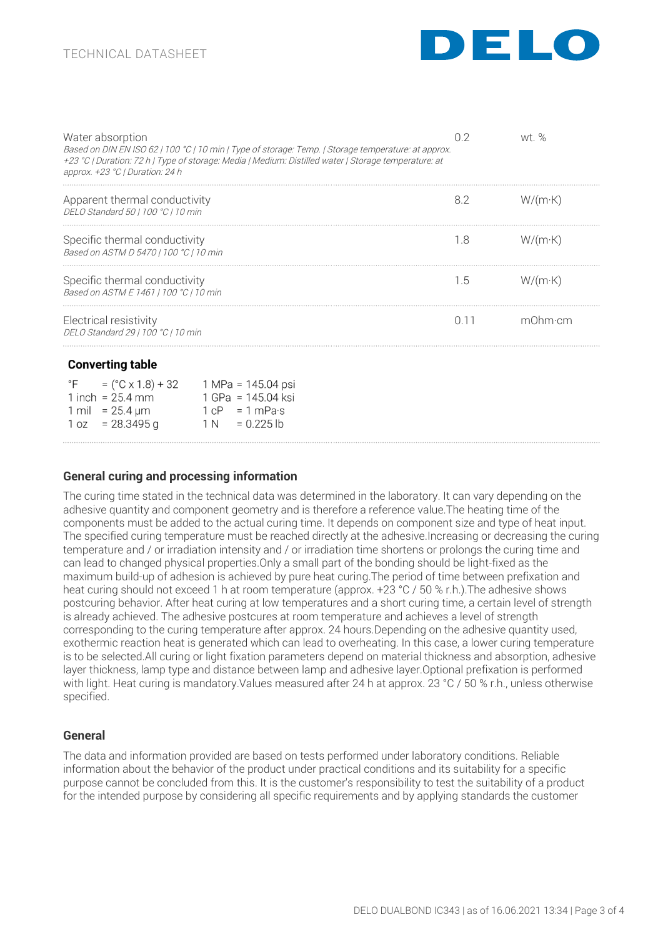

| Water absorption<br>Based on DIN EN ISO 62   100 °C   10 min   Type of storage: Temp.   Storage temperature: at approx.<br>+23 °C   Duration: 72 h   Type of storage: Media   Medium: Distilled water   Storage temperature: at<br>approx. $+23 °C$   Duration: 24 h | 02   | wt %            |
|----------------------------------------------------------------------------------------------------------------------------------------------------------------------------------------------------------------------------------------------------------------------|------|-----------------|
| Apparent thermal conductivity<br>DELO Standard 50   100 °C   10 min                                                                                                                                                                                                  | 8.2  | $W/(m \cdot K)$ |
| Specific thermal conductivity<br>Based on ASTM D 5470   100 °C   10 min                                                                                                                                                                                              | 1.8  | $W/(m \cdot K)$ |
| Specific thermal conductivity<br>Based on ASTM E 1461   100 °C   10 min                                                                                                                                                                                              | 1.5  | $W/(m \cdot K)$ |
| Electrical resistivity<br>DELO Standard 29   100 °C   10 min                                                                                                                                                                                                         | 0.11 | m0hm∙cm         |
| <b>Converting table</b>                                                                                                                                                                                                                                              |      |                 |
| °F<br>1 inch = $25.4$ mm<br>1 GPa = 145.04 ksi<br>1 mil = $25.4 \,\text{\textmu m}$<br>$1 \text{ cP} = 1 \text{ mPa·s}$                                                                                                                                              |      |                 |

| 1 mil = 25.4 $\mu$ m | $1 \text{ cP} = 1 \text{ mPa·s}$ |
|----------------------|----------------------------------|
| $1 oz = 28.3495 g$   | $1 N = 0.225 lb$                 |
|                      |                                  |

## **General curing and processing information**

The curing time stated in the technical data was determined in the laboratory. It can vary depending on the adhesive quantity and component geometry and is therefore a reference value.The heating time of the components must be added to the actual curing time. It depends on component size and type of heat input. The specified curing temperature must be reached directly at the adhesive.Increasing or decreasing the curing temperature and / or irradiation intensity and / or irradiation time shortens or prolongs the curing time and can lead to changed physical properties.Only a small part of the bonding should be light-fixed as the maximum build-up of adhesion is achieved by pure heat curing.The period of time between prefixation and heat curing should not exceed 1 h at room temperature (approx. +23 °C / 50 % r.h.). The adhesive shows postcuring behavior. After heat curing at low temperatures and a short curing time, a certain level of strength is already achieved. The adhesive postcures at room temperature and achieves a level of strength corresponding to the curing temperature after approx. 24 hours.Depending on the adhesive quantity used, exothermic reaction heat is generated which can lead to overheating. In this case, a lower curing temperature is to be selected.All curing or light fixation parameters depend on material thickness and absorption, adhesive layer thickness, lamp type and distance between lamp and adhesive layer.Optional prefixation is performed with light. Heat curing is mandatory. Values measured after 24 h at approx. 23 °C / 50 % r.h., unless otherwise specified.

# **General**

The data and information provided are based on tests performed under laboratory conditions. Reliable information about the behavior of the product under practical conditions and its suitability for a specific purpose cannot be concluded from this. It is the customer's responsibility to test the suitability of a product for the intended purpose by considering all specific requirements and by applying standards the customer